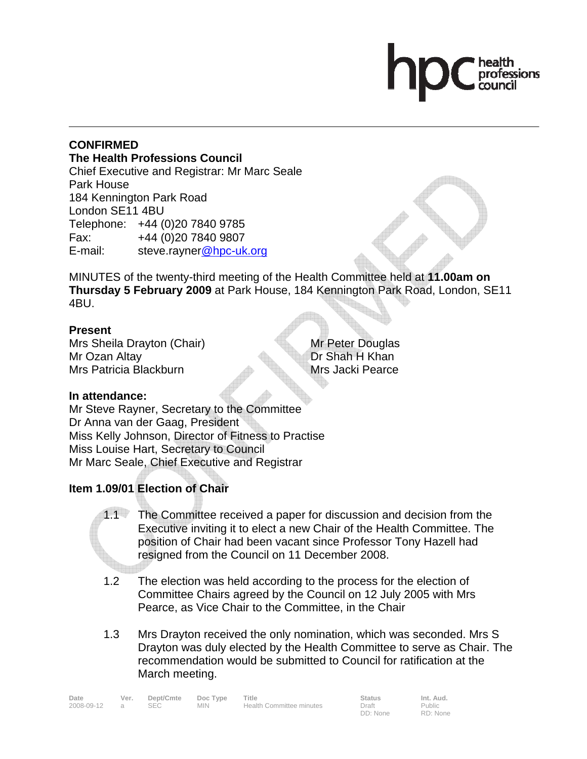#### **CONFIRMED The Health Professions Council** Chief Executive and Registrar: Mr Marc Seale Park House 184 Kennington Park Road London SE11 4BU Telephone: +44 (0)20 7840 9785 Fax: +44 (0)20 7840 9807 E-mail: steve.rayner@hpc-uk.org

MINUTES of the twenty-third meeting of the Health Committee held at **11.00am on Thursday 5 February 2009** at Park House, 184 Kennington Park Road, London, SE11 4BU.

#### **Present**

Mrs Sheila Drayton (Chair) Mr Ozan Altay Mrs Patricia Blackburn

Mr Peter Douglas Dr Shah H Khan Mrs Jacki Pearce

## **In attendance:**

Mr Steve Rayner, Secretary to the Committee Dr Anna van der Gaag, President Miss Kelly Johnson, Director of Fitness to Practise Miss Louise Hart, Secretary to Council Mr Marc Seale, Chief Executive and Registrar

# **Item 1.09/01 Election of Chair**

- 1.1 The Committee received a paper for discussion and decision from the Executive inviting it to elect a new Chair of the Health Committee. The position of Chair had been vacant since Professor Tony Hazell had resigned from the Council on 11 December 2008.
- 1.2 The election was held according to the process for the election of Committee Chairs agreed by the Council on 12 July 2005 with Mrs Pearce, as Vice Chair to the Committee, in the Chair
- 1.3 Mrs Drayton received the only nomination, which was seconded. Mrs S Drayton was duly elected by the Health Committee to serve as Chair. The recommendation would be submitted to Council for ratification at the March meeting.

| Date       | Ver. | Dept/Cmte | Doc Type   | Title                    | <b>Status</b> | Int. Aud.     |
|------------|------|-----------|------------|--------------------------|---------------|---------------|
| 2008-09-12 |      |           | <b>MIN</b> | Health Committee minutes | Draft         | <b>Public</b> |

DD: None

Public RD: None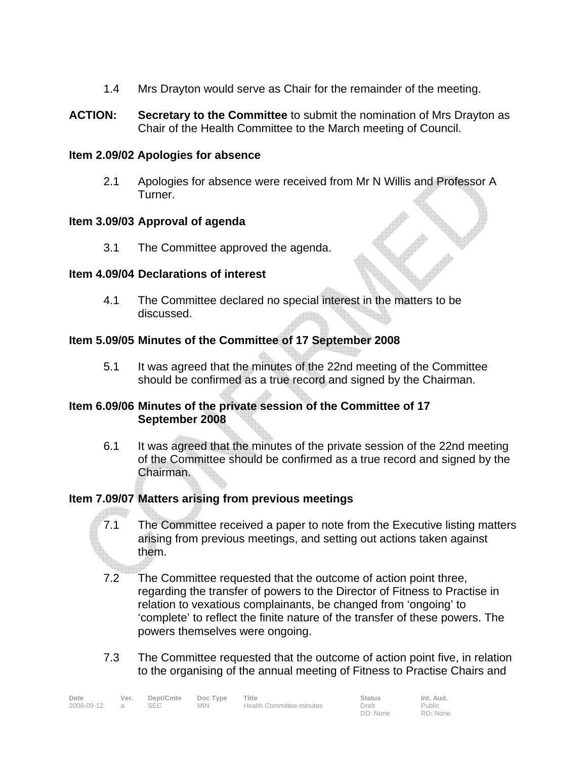- 1.4 Mrs Drayton would serve as Chair for the remainder of the meeting.
- **ACTION: Secretary to the Committee** to submit the nomination of Mrs Drayton as Chair of the Health Committee to the March meeting of Council.

#### **Item 2.09/02 Apologies for absence**

2.1 Apologies for absence were received from Mr N Willis and Professor A Turner.

#### **Item 3.09/03 Approval of agenda**

3.1 The Committee approved the agenda.

### **Item 4.09/04 Declarations of interest**

4.1 The Committee declared no special interest in the matters to be discussed.

## **Item 5.09/05 Minutes of the Committee of 17 September 2008**

5.1 It was agreed that the minutes of the 22nd meeting of the Committee should be confirmed as a true record and signed by the Chairman.

#### **Item 6.09/06 Minutes of the private session of the Committee of 17 September 2008**

6.1 It was agreed that the minutes of the private session of the 22nd meeting of the Committee should be confirmed as a true record and signed by the Chairman.

## **Item 7.09/07 Matters arising from previous meetings**

- 7.1 The Committee received a paper to note from the Executive listing matters arising from previous meetings, and setting out actions taken against them.
- 7.2 The Committee requested that the outcome of action point three, regarding the transfer of powers to the Director of Fitness to Practise in relation to vexatious complainants, be changed from 'ongoing' to 'complete' to reflect the finite nature of the transfer of these powers. The powers themselves were ongoing.
- 7.3 The Committee requested that the outcome of action point five, in relation to the organising of the annual meeting of Fitness to Practise Chairs and

| Date       | Ver. | Dept/Cmte | Doc Type | Title                    | <b>Status</b> | Int. Aud. |
|------------|------|-----------|----------|--------------------------|---------------|-----------|
| 2008-09-12 |      | SEC.      | MIN.     | Health Committee minutes | Draft         | Public    |
|            |      |           |          |                          | DD: None      | RD: None  |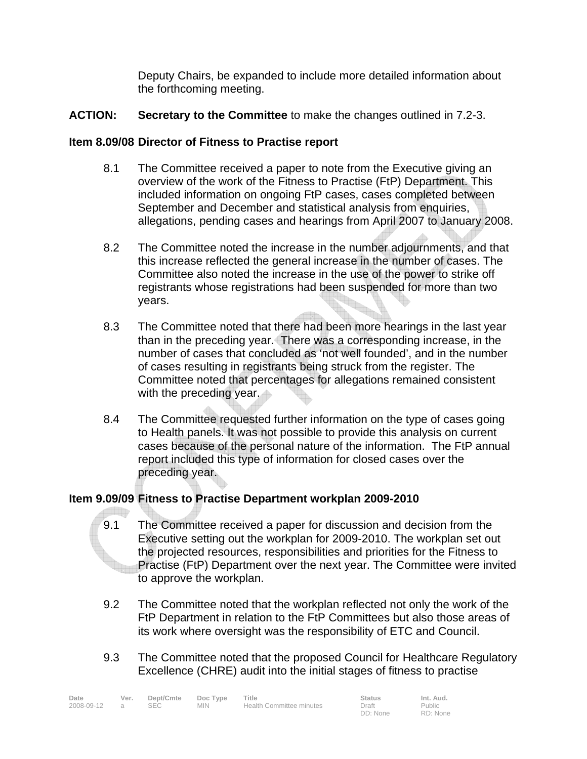Deputy Chairs, be expanded to include more detailed information about the forthcoming meeting.

## **ACTION: Secretary to the Committee** to make the changes outlined in 7.2-3.

## **Item 8.09/08 Director of Fitness to Practise report**

- 8.1 The Committee received a paper to note from the Executive giving an overview of the work of the Fitness to Practise (FtP) Department. This included information on ongoing FtP cases, cases completed between September and December and statistical analysis from enquiries, allegations, pending cases and hearings from April 2007 to January 2008.
- 8.2 The Committee noted the increase in the number adjournments, and that this increase reflected the general increase in the number of cases. The Committee also noted the increase in the use of the power to strike off registrants whose registrations had been suspended for more than two years.
- 8.3 The Committee noted that there had been more hearings in the last year than in the preceding year. There was a corresponding increase, in the number of cases that concluded as 'not well founded', and in the number of cases resulting in registrants being struck from the register. The Committee noted that percentages for allegations remained consistent with the preceding year.
- 8.4 The Committee requested further information on the type of cases going to Health panels. It was not possible to provide this analysis on current cases because of the personal nature of the information. The FtP annual report included this type of information for closed cases over the preceding year.

## **Item 9.09/09 Fitness to Practise Department workplan 2009-2010**

- 9.1 The Committee received a paper for discussion and decision from the Executive setting out the workplan for 2009-2010. The workplan set out the projected resources, responsibilities and priorities for the Fitness to Practise (FtP) Department over the next year. The Committee were invited to approve the workplan.
- 9.2 The Committee noted that the workplan reflected not only the work of the FtP Department in relation to the FtP Committees but also those areas of its work where oversight was the responsibility of ETC and Council.
- 9.3 The Committee noted that the proposed Council for Healthcare Regulatory Excellence (CHRE) audit into the initial stages of fitness to practise

| Date       | Ver. | Dept/Cmte | Doc Type | Title                    | <b>Status</b> | Int. Aud.     |
|------------|------|-----------|----------|--------------------------|---------------|---------------|
| 2008-09-12 |      | SEC.      | MIN.     | Health Committee minutes | Draft         | <b>Public</b> |
|            |      |           |          |                          | DD: None      | RD: None      |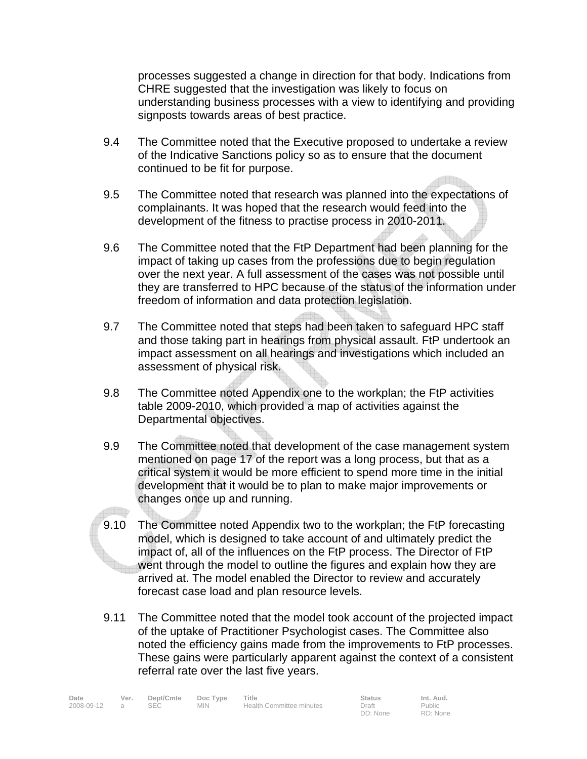processes suggested a change in direction for that body. Indications from CHRE suggested that the investigation was likely to focus on understanding business processes with a view to identifying and providing signposts towards areas of best practice.

- 9.4 The Committee noted that the Executive proposed to undertake a review of the Indicative Sanctions policy so as to ensure that the document continued to be fit for purpose.
- 9.5 The Committee noted that research was planned into the expectations of complainants. It was hoped that the research would feed into the development of the fitness to practise process in 2010-2011.
- 9.6 The Committee noted that the FtP Department had been planning for the impact of taking up cases from the professions due to begin regulation over the next year. A full assessment of the cases was not possible until they are transferred to HPC because of the status of the information under freedom of information and data protection legislation.
- 9.7 The Committee noted that steps had been taken to safeguard HPC staff and those taking part in hearings from physical assault. FtP undertook an impact assessment on all hearings and investigations which included an assessment of physical risk.
- 9.8 The Committee noted Appendix one to the workplan; the FtP activities table 2009-2010, which provided a map of activities against the Departmental objectives.
- 9.9 The Committee noted that development of the case management system mentioned on page 17 of the report was a long process, but that as a critical system it would be more efficient to spend more time in the initial development that it would be to plan to make major improvements or changes once up and running.
- 9.10 The Committee noted Appendix two to the workplan; the FtP forecasting model, which is designed to take account of and ultimately predict the impact of, all of the influences on the FtP process. The Director of FtP went through the model to outline the figures and explain how they are arrived at. The model enabled the Director to review and accurately forecast case load and plan resource levels.
- 9.11 The Committee noted that the model took account of the projected impact of the uptake of Practitioner Psychologist cases. The Committee also noted the efficiency gains made from the improvements to FtP processes. These gains were particularly apparent against the context of a consistent referral rate over the last five years.

| Date       | Ver. | Dept/Cmte Doc Type |            | Title                    | <b>Status</b> | Int. Aud.     |
|------------|------|--------------------|------------|--------------------------|---------------|---------------|
| 2008-09-12 |      |                    | <b>MIN</b> | Health Committee minutes | Draft         | <b>Public</b> |

DD: None